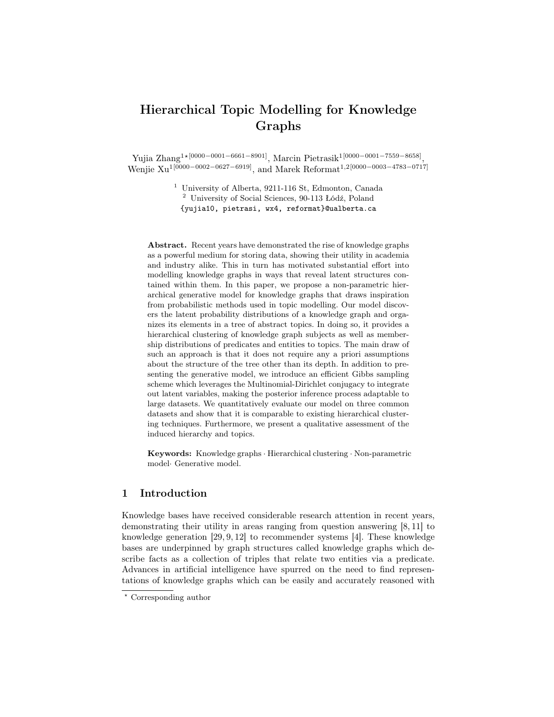# Hierarchical Topic Modelling for Knowledge Graphs

Yujia Zhang<sup>1\*</sup><sup>[0000−0001−6661−8901]</sup>, Marcin Pietrasik<sup>1</sup><sup>[0000−0001−7559−8658]</sup>, Wenjie Xu<sup>1</sup>[0000−0002−0627−6919], and Marek Reformat<sup>1,2</sup>[0000−0003−4783−0717]

> <sup>1</sup> University of Alberta, 9211-116 St, Edmonton, Canada <sup>2</sup> University of Social Sciences, 90-113 Łódź, Poland {yujia10, pietrasi, wx4, reformat}@ualberta.ca

Abstract. Recent years have demonstrated the rise of knowledge graphs as a powerful medium for storing data, showing their utility in academia and industry alike. This in turn has motivated substantial effort into modelling knowledge graphs in ways that reveal latent structures contained within them. In this paper, we propose a non-parametric hierarchical generative model for knowledge graphs that draws inspiration from probabilistic methods used in topic modelling. Our model discovers the latent probability distributions of a knowledge graph and organizes its elements in a tree of abstract topics. In doing so, it provides a hierarchical clustering of knowledge graph subjects as well as membership distributions of predicates and entities to topics. The main draw of such an approach is that it does not require any a priori assumptions about the structure of the tree other than its depth. In addition to presenting the generative model, we introduce an efficient Gibbs sampling scheme which leverages the Multinomial-Dirichlet conjugacy to integrate out latent variables, making the posterior inference process adaptable to large datasets. We quantitatively evaluate our model on three common datasets and show that it is comparable to existing hierarchical clustering techniques. Furthermore, we present a qualitative assessment of the induced hierarchy and topics.

Keywords: Knowledge graphs · Hierarchical clustering · Non-parametric model· Generative model.

# 1 Introduction

Knowledge bases have received considerable research attention in recent years, demonstrating their utility in areas ranging from question answering [8, 11] to knowledge generation [29, 9, 12] to recommender systems [4]. These knowledge bases are underpinned by graph structures called knowledge graphs which describe facts as a collection of triples that relate two entities via a predicate. Advances in artificial intelligence have spurred on the need to find representations of knowledge graphs which can be easily and accurately reasoned with

<sup>?</sup> Corresponding author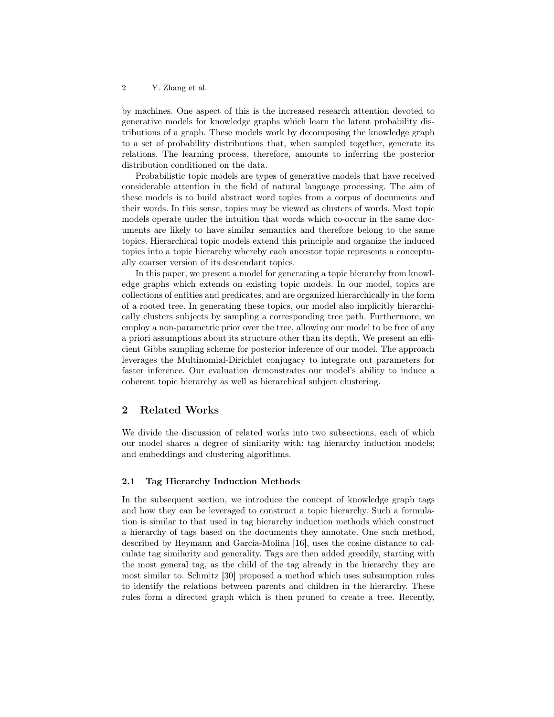by machines. One aspect of this is the increased research attention devoted to generative models for knowledge graphs which learn the latent probability distributions of a graph. These models work by decomposing the knowledge graph to a set of probability distributions that, when sampled together, generate its relations. The learning process, therefore, amounts to inferring the posterior distribution conditioned on the data.

Probabilistic topic models are types of generative models that have received considerable attention in the field of natural language processing. The aim of these models is to build abstract word topics from a corpus of documents and their words. In this sense, topics may be viewed as clusters of words. Most topic models operate under the intuition that words which co-occur in the same documents are likely to have similar semantics and therefore belong to the same topics. Hierarchical topic models extend this principle and organize the induced topics into a topic hierarchy whereby each ancestor topic represents a conceptually coarser version of its descendant topics.

In this paper, we present a model for generating a topic hierarchy from knowledge graphs which extends on existing topic models. In our model, topics are collections of entities and predicates, and are organized hierarchically in the form of a rooted tree. In generating these topics, our model also implicitly hierarchically clusters subjects by sampling a corresponding tree path. Furthermore, we employ a non-parametric prior over the tree, allowing our model to be free of any a priori assumptions about its structure other than its depth. We present an efficient Gibbs sampling scheme for posterior inference of our model. The approach leverages the Multinomial-Dirichlet conjugacy to integrate out parameters for faster inference. Our evaluation demonstrates our model's ability to induce a coherent topic hierarchy as well as hierarchical subject clustering.

## 2 Related Works

We divide the discussion of related works into two subsections, each of which our model shares a degree of similarity with: tag hierarchy induction models; and embeddings and clustering algorithms.

#### 2.1 Tag Hierarchy Induction Methods

In the subsequent section, we introduce the concept of knowledge graph tags and how they can be leveraged to construct a topic hierarchy. Such a formulation is similar to that used in tag hierarchy induction methods which construct a hierarchy of tags based on the documents they annotate. One such method, described by Heymann and Garcia-Molina [16], uses the cosine distance to calculate tag similarity and generality. Tags are then added greedily, starting with the most general tag, as the child of the tag already in the hierarchy they are most similar to. Schmitz [30] proposed a method which uses subsumption rules to identify the relations between parents and children in the hierarchy. These rules form a directed graph which is then pruned to create a tree. Recently,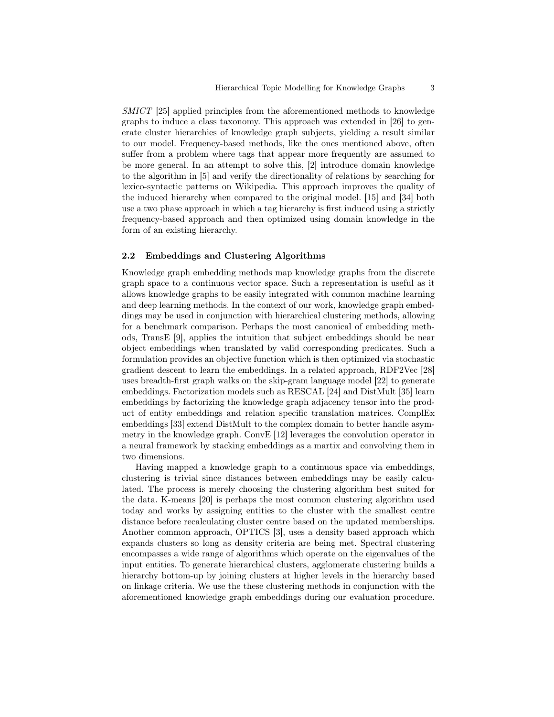SMICT [25] applied principles from the aforementioned methods to knowledge graphs to induce a class taxonomy. This approach was extended in [26] to generate cluster hierarchies of knowledge graph subjects, yielding a result similar to our model. Frequency-based methods, like the ones mentioned above, often suffer from a problem where tags that appear more frequently are assumed to be more general. In an attempt to solve this, [2] introduce domain knowledge to the algorithm in [5] and verify the directionality of relations by searching for lexico-syntactic patterns on Wikipedia. This approach improves the quality of the induced hierarchy when compared to the original model. [15] and [34] both use a two phase approach in which a tag hierarchy is first induced using a strictly frequency-based approach and then optimized using domain knowledge in the form of an existing hierarchy.

#### 2.2 Embeddings and Clustering Algorithms

Knowledge graph embedding methods map knowledge graphs from the discrete graph space to a continuous vector space. Such a representation is useful as it allows knowledge graphs to be easily integrated with common machine learning and deep learning methods. In the context of our work, knowledge graph embeddings may be used in conjunction with hierarchical clustering methods, allowing for a benchmark comparison. Perhaps the most canonical of embedding methods, TransE [9], applies the intuition that subject embeddings should be near object embeddings when translated by valid corresponding predicates. Such a formulation provides an objective function which is then optimized via stochastic gradient descent to learn the embeddings. In a related approach, RDF2Vec [28] uses breadth-first graph walks on the skip-gram language model [22] to generate embeddings. Factorization models such as RESCAL [24] and DistMult [35] learn embeddings by factorizing the knowledge graph adjacency tensor into the product of entity embeddings and relation specific translation matrices. ComplEx embeddings [33] extend DistMult to the complex domain to better handle asymmetry in the knowledge graph. ConvE [12] leverages the convolution operator in a neural framework by stacking embeddings as a martix and convolving them in two dimensions.

Having mapped a knowledge graph to a continuous space via embeddings, clustering is trivial since distances between embeddings may be easily calculated. The process is merely choosing the clustering algorithm best suited for the data. K-means [20] is perhaps the most common clustering algorithm used today and works by assigning entities to the cluster with the smallest centre distance before recalculating cluster centre based on the updated memberships. Another common approach, OPTICS [3], uses a density based approach which expands clusters so long as density criteria are being met. Spectral clustering encompasses a wide range of algorithms which operate on the eigenvalues of the input entities. To generate hierarchical clusters, agglomerate clustering builds a hierarchy bottom-up by joining clusters at higher levels in the hierarchy based on linkage criteria. We use the these clustering methods in conjunction with the aforementioned knowledge graph embeddings during our evaluation procedure.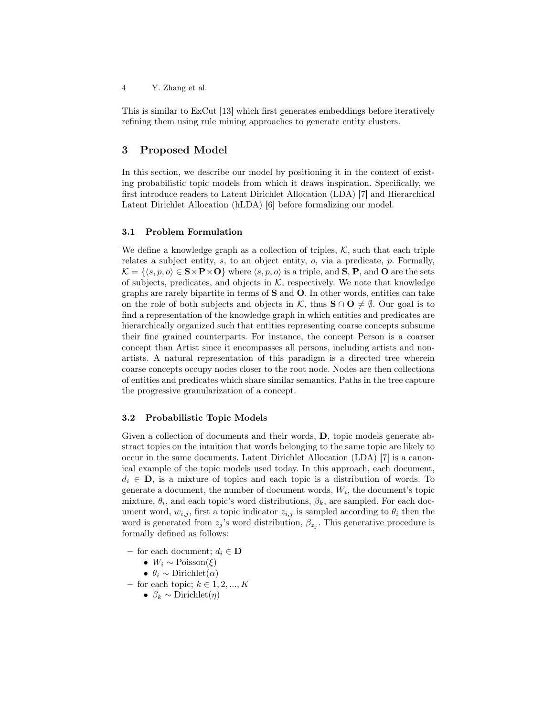This is similar to ExCut [13] which first generates embeddings before iteratively refining them using rule mining approaches to generate entity clusters.

## 3 Proposed Model

In this section, we describe our model by positioning it in the context of existing probabilistic topic models from which it draws inspiration. Specifically, we first introduce readers to Latent Dirichlet Allocation (LDA) [7] and Hierarchical Latent Dirichlet Allocation (hLDA) [6] before formalizing our model.

#### 3.1 Problem Formulation

We define a knowledge graph as a collection of triples,  $K$ , such that each triple relates a subject entity, s, to an object entity, o, via a predicate, p. Formally,  $\mathcal{K} = \{\langle s, p, o \rangle \in \mathbf{S} \times \mathbf{P} \times \mathbf{O}\}\$  where  $\langle s, p, o \rangle$  is a triple, and **S**, **P**, and **O** are the sets of subjects, predicates, and objects in  $K$ , respectively. We note that knowledge graphs are rarely bipartite in terms of  $S$  and  $O$ . In other words, entities can take on the role of both subjects and objects in K, thus  $S \cap O \neq \emptyset$ . Our goal is to find a representation of the knowledge graph in which entities and predicates are hierarchically organized such that entities representing coarse concepts subsume their fine grained counterparts. For instance, the concept Person is a coarser concept than Artist since it encompasses all persons, including artists and nonartists. A natural representation of this paradigm is a directed tree wherein coarse concepts occupy nodes closer to the root node. Nodes are then collections of entities and predicates which share similar semantics. Paths in the tree capture the progressive granularization of a concept.

#### 3.2 Probabilistic Topic Models

Given a collection of documents and their words, D, topic models generate abstract topics on the intuition that words belonging to the same topic are likely to occur in the same documents. Latent Dirichlet Allocation (LDA) [7] is a canonical example of the topic models used today. In this approach, each document,  $d_i \in \mathbf{D}$ , is a mixture of topics and each topic is a distribution of words. To generate a document, the number of document words,  $W_i$ , the document's topic mixture,  $\theta_i$ , and each topic's word distributions,  $\beta_k$ , are sampled. For each document word,  $w_{i,j}$ , first a topic indicator  $z_{i,j}$  is sampled according to  $\theta_i$  then the word is generated from  $z_j$ 's word distribution,  $\beta_{z_j}$ . This generative procedure is formally defined as follows:

- for each document;  $d_i \in \mathbf{D}$ 
	- $W_i \sim \text{Poisson}(\xi)$
	- $\theta_i \sim \text{Dirichlet}(\alpha)$
- for each topic;  $k \in 1, 2, ..., K$ 
	- $\beta_k \sim \text{Dirichlet}(\eta)$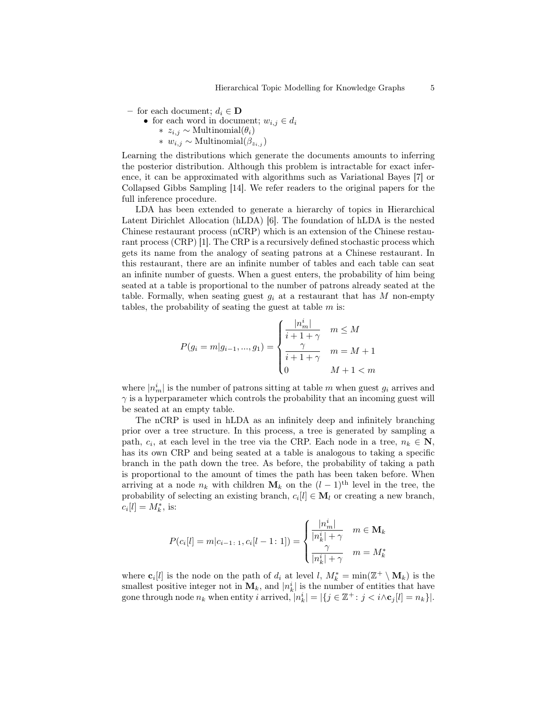- for each document;  $d_i \in \mathbf{D}$ 
	- for each word in document;  $w_{i,j} \in d_i$ 
		- ∗  $z_{i,j}$  ∼ Multinomial $(\theta_i)$
		- $∗ w_{i,j} \sim \text{Multinomial}(\beta_{z_{i,j}})$

Learning the distributions which generate the documents amounts to inferring the posterior distribution. Although this problem is intractable for exact inference, it can be approximated with algorithms such as Variational Bayes [7] or Collapsed Gibbs Sampling [14]. We refer readers to the original papers for the full inference procedure.

LDA has been extended to generate a hierarchy of topics in Hierarchical Latent Dirichlet Allocation (hLDA) [6]. The foundation of hLDA is the nested Chinese restaurant process (nCRP) which is an extension of the Chinese restaurant process (CRP) [1]. The CRP is a recursively defined stochastic process which gets its name from the analogy of seating patrons at a Chinese restaurant. In this restaurant, there are an infinite number of tables and each table can seat an infinite number of guests. When a guest enters, the probability of him being seated at a table is proportional to the number of patrons already seated at the table. Formally, when seating guest  $g_i$  at a restaurant that has M non-empty tables, the probability of seating the guest at table  $m$  is:

$$
P(g_i = m | g_{i-1}, ..., g_1) = \begin{cases} \frac{|n_m^i|}{i+1+\gamma} & m \le M\\ \frac{\gamma}{i+1+\gamma} & m = M+1\\ 0 & M+1 < m \end{cases}
$$

where  $|n_m^i|$  is the number of patrons sitting at table m when guest  $g_i$  arrives and  $\gamma$  is a hyperparameter which controls the probability that an incoming guest will be seated at an empty table.

The nCRP is used in hLDA as an infinitely deep and infinitely branching prior over a tree structure. In this process, a tree is generated by sampling a path,  $c_i$ , at each level in the tree via the CRP. Each node in a tree,  $n_k \in \mathbb{N}$ , has its own CRP and being seated at a table is analogous to taking a specific branch in the path down the tree. As before, the probability of taking a path is proportional to the amount of times the path has been taken before. When arriving at a node  $n_k$  with children  $\mathbf{M}_k$  on the  $(l-1)$ <sup>th</sup> level in the tree, the probability of selecting an existing branch,  $c_i[l] \in M_l$  or creating a new branch,  $c_i[l] = M_k^*$ , is:

$$
P(c_i[l] = m|c_{i-1:1}, c_i[l-1:1]) = \begin{cases} \frac{|n_m^i|}{|n_k^i| + \gamma} & m \in \mathbf{M}_k\\ \frac{\gamma}{|n_k^i| + \gamma} & m = M_k^* \end{cases}
$$

where  $\mathbf{c}_i[l]$  is the node on the path of  $d_i$  at level l,  $M_k^* = \min(\mathbb{Z}^+ \setminus \mathbf{M}_k)$  is the smallest positive integer not in  $\mathbf{M}_k$ , and  $|n_k^i|$  is the number of entities that have gone through node  $n_k$  when entity i arrived,  $|n_k^i| = |\{j \in \mathbb{Z}^+ : j < i \wedge \mathbf{c}_j[i] = n_k\}|$ .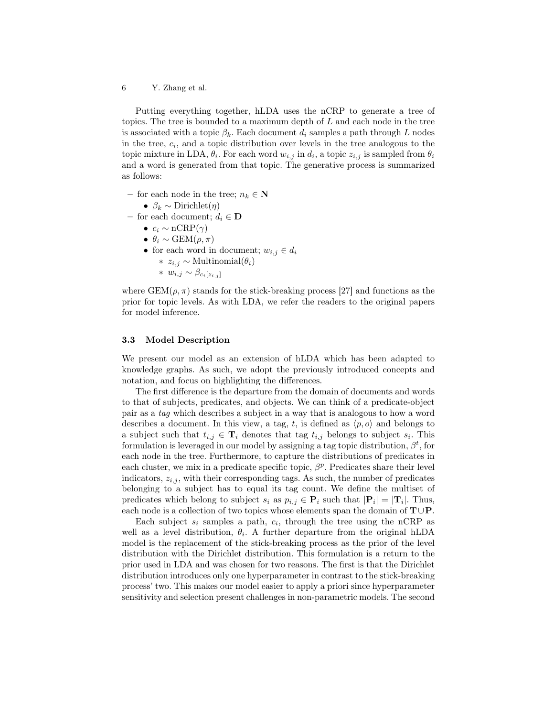Putting everything together, hLDA uses the nCRP to generate a tree of topics. The tree is bounded to a maximum depth of  $L$  and each node in the tree is associated with a topic  $\beta_k$ . Each document  $d_i$  samples a path through L nodes in the tree,  $c_i$ , and a topic distribution over levels in the tree analogous to the topic mixture in LDA,  $\theta_i$ . For each word  $w_{i,j}$  in  $d_i$ , a topic  $z_{i,j}$  is sampled from  $\theta_i$ and a word is generated from that topic. The generative process is summarized as follows:

- for each node in the tree;  $n_k \in \mathbb{N}$ 
	- $\beta_k \sim \text{Dirichlet}(\eta)$
- for each document;  $d_i \in \mathbf{D}$ 
	- $c_i \sim nCRP(\gamma)$
	- $\theta_i \sim \text{GEM}(\rho, \pi)$
	- for each word in document;  $w_{i,j} \in d_i$ 
		- ∗  $z_{i,j}$  ∼ Multinomial $(\theta_i)$
		- $* w_{i,j} ∼ β_{c_i[z_{i,j}]}$

where  $GEM(\rho, \pi)$  stands for the stick-breaking process [27] and functions as the prior for topic levels. As with LDA, we refer the readers to the original papers for model inference.

#### 3.3 Model Description

We present our model as an extension of hLDA which has been adapted to knowledge graphs. As such, we adopt the previously introduced concepts and notation, and focus on highlighting the differences.

The first difference is the departure from the domain of documents and words to that of subjects, predicates, and objects. We can think of a predicate-object pair as a tag which describes a subject in a way that is analogous to how a word describes a document. In this view, a tag, t, is defined as  $\langle p, o \rangle$  and belongs to a subject such that  $t_{i,j} \in \mathbf{T}_i$  denotes that tag  $t_{i,j}$  belongs to subject  $s_i$ . This formulation is leveraged in our model by assigning a tag topic distribution,  $\beta^t$ , for each node in the tree. Furthermore, to capture the distributions of predicates in each cluster, we mix in a predicate specific topic,  $\beta^p$ . Predicates share their level indicators,  $z_{i,j}$ , with their corresponding tags. As such, the number of predicates belonging to a subject has to equal its tag count. We define the multiset of predicates which belong to subject  $s_i$  as  $p_{i,j} \in \mathbf{P}_i$  such that  $|\mathbf{P}_i| = |\mathbf{T}_i|$ . Thus, each node is a collection of two topics whose elements span the domain of  $T \cup P$ .

Each subject  $s_i$  samples a path,  $c_i$ , through the tree using the nCRP as well as a level distribution,  $\theta_i$ . A further departure from the original hLDA model is the replacement of the stick-breaking process as the prior of the level distribution with the Dirichlet distribution. This formulation is a return to the prior used in LDA and was chosen for two reasons. The first is that the Dirichlet distribution introduces only one hyperparameter in contrast to the stick-breaking process' two. This makes our model easier to apply a priori since hyperparameter sensitivity and selection present challenges in non-parametric models. The second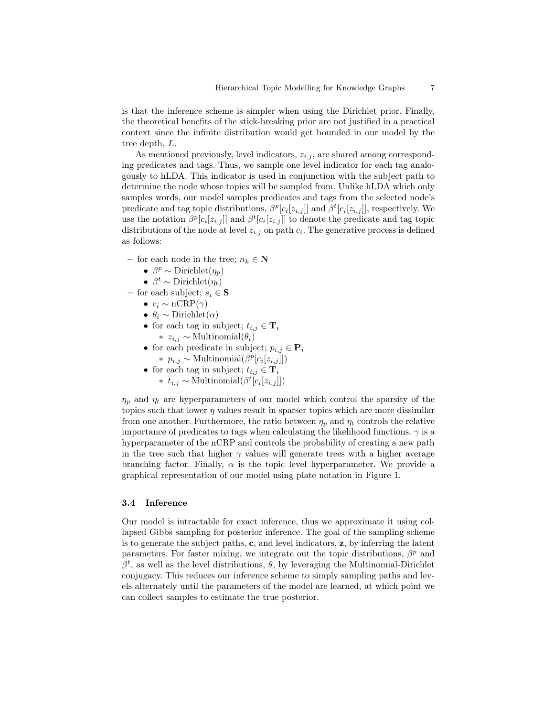is that the inference scheme is simpler when using the Dirichlet prior. Finally, the theoretical benefits of the stick-breaking prior are not justified in a practical context since the infinite distribution would get bounded in our model by the tree depth, L.

As mentioned previously, level indicators,  $z_{i,j}$ , are shared among corresponding predicates and tags. Thus, we sample one level indicator for each tag analogously to hLDA. This indicator is used in conjunction with the subject path to determine the node whose topics will be sampled from. Unlike hLDA which only samples words, our model samples predicates and tags from the selected node's predicate and tag topic distributions,  $\beta^{p}[c_i[z_{i,j}]]$  and  $\beta^{t}[c_i[z_{i,j}]]$ , respectively. We use the notation  $\beta^{p}[c_i[z_{i,j}]]$  and  $\beta^{t}[c_i[z_{i,j}]]$  to denote the predicate and tag topic distributions of the node at level  $z_{i,j}$  on path  $c_i$ . The generative process is defined as follows:

- for each node in the tree;  $n_k \in \mathbb{N}$ 
	- $\beta^p \sim \text{Dirichlet}(\eta_p)$
	- $\beta^t \sim \text{Dirichlet}(\eta_t)$
- for each subject;  $s_i \in \mathbf{S}$ 
	- $c_i \sim nCRP(\gamma)$
	- $\theta_i \sim \text{Dirichlet}(\alpha)$
	- for each tag in subject;  $t_{i,j} \in \mathbf{T}_i$  $∗ z_{i,j} \sim \text{Multinomial}(\theta_i)$
	- for each predicate in subject;  $p_{i,j} \in \mathbf{P}_i$  $∗ p_{i,j} \sim \text{Multinomial}(\beta^{p}[c_i[z_{i,j}]])$
	- for each tag in subject;  $t_{i,j} \in \mathbf{T}_i$ 
		- $*$   $t_{i,j}$  ∼ Multinomial( $\beta$ <sup>t</sup>[ $c_i$ [ $z_{i,j}$ ]])

 $\eta_p$  and  $\eta_t$  are hyperparameters of our model which control the sparsity of the topics such that lower  $\eta$  values result in sparser topics which are more dissimilar from one another. Furthermore, the ratio between  $\eta_p$  and  $\eta_t$  controls the relative importance of predicates to tags when calculating the likelihood functions.  $\gamma$  is a hyperparameter of the nCRP and controls the probability of creating a new path in the tree such that higher  $\gamma$  values will generate trees with a higher average branching factor. Finally,  $\alpha$  is the topic level hyperparameter. We provide a graphical representation of our model using plate notation in Figure 1.

#### 3.4 Inference

Our model is intractable for exact inference, thus we approximate it using collapsed Gibbs sampling for posterior inference. The goal of the sampling scheme is to generate the subject paths, c, and level indicators, z, by inferring the latent parameters. For faster mixing, we integrate out the topic distributions,  $\beta^p$  and  $\beta^t$ , as well as the level distributions,  $\theta$ , by leveraging the Multinomial-Dirichlet conjugacy. This reduces our inference scheme to simply sampling paths and levels alternately until the parameters of the model are learned, at which point we can collect samples to estimate the true posterior.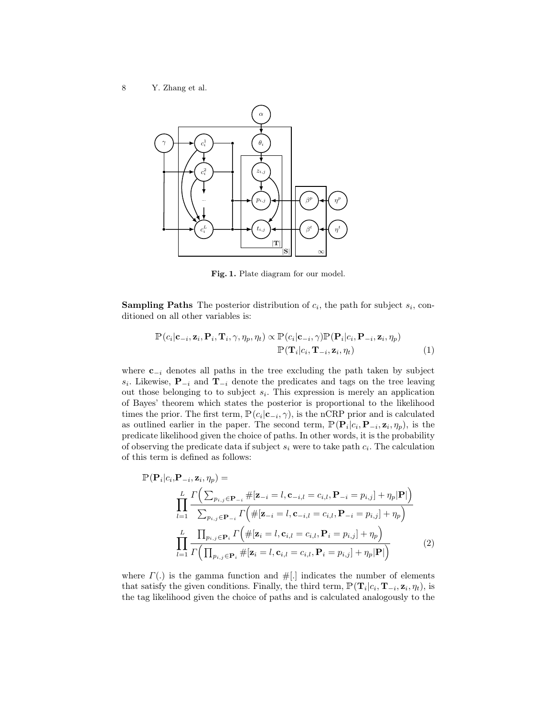8 Y. Zhang et al.



Fig. 1. Plate diagram for our model.

**Sampling Paths** The posterior distribution of  $c_i$ , the path for subject  $s_i$ , conditioned on all other variables is:

$$
\mathbb{P}(c_i|\mathbf{c}_{-i}, \mathbf{z}_i, \mathbf{P}_i, \mathbf{T}_i, \gamma, \eta_p, \eta_t) \propto \mathbb{P}(c_i|\mathbf{c}_{-i}, \gamma) \mathbb{P}(\mathbf{P}_i|c_i, \mathbf{P}_{-i}, \mathbf{z}_i, \eta_p) \n\mathbb{P}(\mathbf{T}_i|c_i, \mathbf{T}_{-i}, \mathbf{z}_i, \eta_t)
$$
\n(1)

where  $c_{-i}$  denotes all paths in the tree excluding the path taken by subject  $s_i$ . Likewise,  $\mathbf{P}_{-i}$  and  $\mathbf{T}_{-i}$  denote the predicates and tags on the tree leaving out those belonging to to subject  $s_i$ . This expression is merely an application of Bayes' theorem which states the posterior is proportional to the likelihood times the prior. The first term,  $\mathbb{P}(c_i | \mathbf{c}_{-i}, \gamma)$ , is the nCRP prior and is calculated as outlined earlier in the paper. The second term,  $\mathbb{P}(\mathbf{P}_i|c_i, \mathbf{P}_{-i}, \mathbf{z}_i, \eta_p)$ , is the predicate likelihood given the choice of paths. In other words, it is the probability of observing the predicate data if subject  $s_i$  were to take path  $c_i$ . The calculation of this term is defined as follows:

$$
\mathbb{P}(\mathbf{P}_{i}|c_{i},\mathbf{P}_{-i},\mathbf{z}_{i},\eta_{p}) =
$$
\n
$$
\prod_{l=1}^{L} \frac{\Gamma\left(\sum_{p_{i,j}\in\mathbf{P}_{-i}}\#[\mathbf{z}_{-i}=l,\mathbf{c}_{-i,l}=c_{i,l},\mathbf{P}_{-i}=p_{i,j}]+\eta_{p}|\mathbf{P}|\right)}{\sum_{p_{i,j}\in\mathbf{P}_{-i}}\Gamma\left(\#[\mathbf{z}_{-i}=l,\mathbf{c}_{-i,l}=c_{i,l},\mathbf{P}_{-i}=p_{i,j}]+\eta_{p}\right)}
$$
\n
$$
\prod_{l=1}^{L} \frac{\prod_{p_{i,j}\in\mathbf{P}_{i}}\Gamma\left(\#[\mathbf{z}_{i}=l,\mathbf{c}_{i,l}=c_{i,l},\mathbf{P}_{i}=p_{i,j}]+\eta_{p}\right)}{\Gamma\left(\prod_{p_{i,j}\in\mathbf{P}_{i}}\#[\mathbf{z}_{i}=l,\mathbf{c}_{i,l}=c_{i,l},\mathbf{P}_{i}=p_{i,j}]+\eta_{p}|\mathbf{P}|\right)}
$$
\n(2)

where  $\Gamma(.)$  is the gamma function and  $\#(.)$  indicates the number of elements that satisfy the given conditions. Finally, the third term,  $\mathbb{P}(\mathbf{T}_i|c_i, \mathbf{T}_{-i}, \mathbf{z}_i, \eta_t)$ , is the tag likelihood given the choice of paths and is calculated analogously to the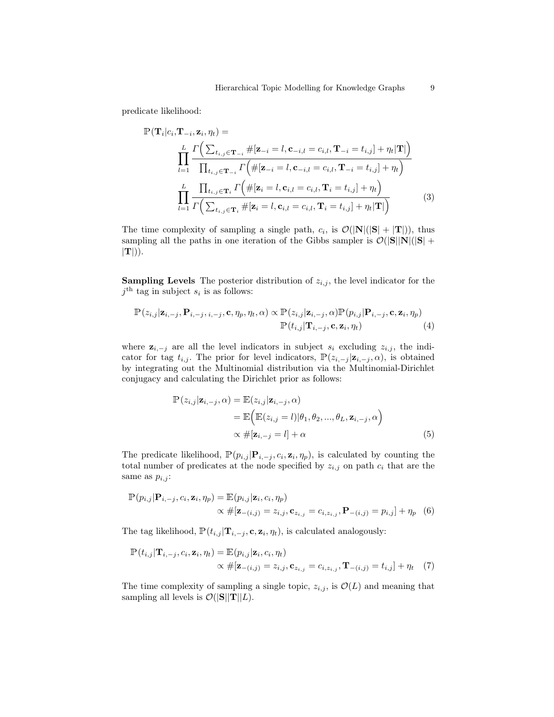predicate likelihood:

$$
\mathbb{P}(\mathbf{T}_{i}|c_{i},\mathbf{T}_{-i},\mathbf{z}_{i},\eta_{t}) =
$$
\n
$$
\prod_{l=1}^{L} \frac{\Gamma\Big(\sum_{t_{i,j}\in\mathbf{T}_{-i}}\#[\mathbf{z}_{-i}=l,\mathbf{c}_{-i,l}=c_{i,l},\mathbf{T}_{-i}=t_{i,j}]+\eta_{t}|\mathbf{T}|\Big)}{\prod_{t_{i,j}\in\mathbf{T}_{-i}}\Gamma\Big(\#[\mathbf{z}_{-i}=l,\mathbf{c}_{-i,l}=c_{i,l},\mathbf{T}_{-i}=t_{i,j}]+\eta_{t}\Big)}
$$
\n
$$
\prod_{l=1}^{L} \frac{\prod_{t_{i,j}\in\mathbf{T}_{i}}\Gamma\Big(\#[\mathbf{z}_{i}=l,\mathbf{c}_{i,l}=c_{i,l},\mathbf{T}_{i}=t_{i,j}]+\eta_{t}\Big)}{\Gamma\Big(\sum_{t_{i,j}\in\mathbf{T}_{i}}\#[\mathbf{z}_{i}=l,\mathbf{c}_{i,l}=c_{i,l},\mathbf{T}_{i}=t_{i,j}]+\eta_{t}|\mathbf{T}|\Big)}
$$
\n(3)

The time complexity of sampling a single path,  $c_i$ , is  $\mathcal{O}(|N|(|S| + |T|))$ , thus sampling all the paths in one iteration of the Gibbs sampler is  $\mathcal{O}(|S||N|(|S| +$  $|\mathbf{T}|$ ).

**Sampling Levels** The posterior distribution of  $z_{i,j}$ , the level indicator for the  $j<sup>th</sup>$  tag in subject  $s<sub>i</sub>$  is as follows:

$$
\mathbb{P}(z_{i,j}|\mathbf{z}_{i,-j},\mathbf{P}_{i,-j},i,-j,\mathbf{c},\eta_p,\eta_t,\alpha) \propto \mathbb{P}(z_{i,j}|\mathbf{z}_{i,-j},\alpha) \mathbb{P}(p_{i,j}|\mathbf{P}_{i,-j},\mathbf{c},\mathbf{z}_i,\eta_p)
$$
\n
$$
\mathbb{P}(t_{i,j}|\mathbf{T}_{i,-j},\mathbf{c},\mathbf{z}_i,\eta_t) \tag{4}
$$

where  $z_{i,-j}$  are all the level indicators in subject  $s_i$  excluding  $z_{i,j}$ , the indicator for tag  $t_{i,j}$ . The prior for level indicators,  $\mathbb{P}(z_{i,-j} | \mathbf{z}_{i,-j}, \alpha)$ , is obtained by integrating out the Multinomial distribution via the Multinomial-Dirichlet conjugacy and calculating the Dirichlet prior as follows:

$$
\mathbb{P}(z_{i,j}|\mathbf{z}_{i,-j},\alpha) = \mathbb{E}(z_{i,j}|\mathbf{z}_{i,-j},\alpha)
$$
  
= 
$$
\mathbb{E}\Big(\mathbb{E}(z_{i,j}=l)|\theta_1,\theta_2,...,\theta_L,\mathbf{z}_{i,-j},\alpha\Big)
$$
  

$$
\propto \#[\mathbf{z}_{i,-j}=l]+\alpha
$$
 (5)

The predicate likelihood,  $\mathbb{P}(p_{i,j} | \mathbf{P}_{i,-j}, c_i, \mathbf{z}_i, \eta_p)$ , is calculated by counting the total number of predicates at the node specified by  $z_{i,j}$  on path  $c_i$  that are the same as  $p_{i,j}$ :

$$
\mathbb{P}(p_{i,j}|\mathbf{P}_{i,-j},c_i,\mathbf{z}_i,\eta_p) = \mathbb{E}(p_{i,j}|\mathbf{z}_i,c_i,\eta_p)
$$
  
 
$$
\propto #[\mathbf{z}_{-(i,j)} = z_{i,j},\mathbf{c}_{z_{i,j}} = c_{i,z_{i,j}},\mathbf{P}_{-(i,j)} = p_{i,j}] + \eta_p \quad (6)
$$

The tag likelihood,  $\mathbb{P}(t_{i,j} | \mathbf{T}_{i,-j}, \mathbf{c}, \mathbf{z}_i, \eta_t)$ , is calculated analogously:

$$
\mathbb{P}(t_{i,j}|\mathbf{T}_{i,-j},c_i,\mathbf{z}_i,\eta_t) = \mathbb{E}(p_{i,j}|\mathbf{z}_i,c_i,\eta_t) \propto \#[\mathbf{z}_{-(i,j)} = z_{i,j},\mathbf{c}_{z_{i,j}} = c_{i,z_{i,j}},\mathbf{T}_{-(i,j)} = t_{i,j}] + \eta_t
$$
(7)

The time complexity of sampling a single topic,  $z_{i,j}$ , is  $\mathcal{O}(L)$  and meaning that sampling all levels is  $\mathcal{O}(|\mathbf{S}||\mathbf{T}||L)$ .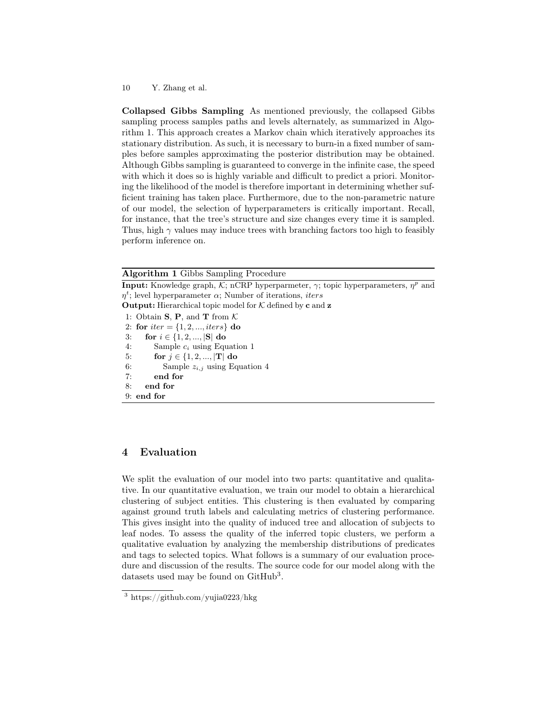Collapsed Gibbs Sampling As mentioned previously, the collapsed Gibbs sampling process samples paths and levels alternately, as summarized in Algorithm 1. This approach creates a Markov chain which iteratively approaches its stationary distribution. As such, it is necessary to burn-in a fixed number of samples before samples approximating the posterior distribution may be obtained. Although Gibbs sampling is guaranteed to converge in the infinite case, the speed with which it does so is highly variable and difficult to predict a priori. Monitoring the likelihood of the model is therefore important in determining whether sufficient training has taken place. Furthermore, due to the non-parametric nature of our model, the selection of hyperparameters is critically important. Recall, for instance, that the tree's structure and size changes every time it is sampled. Thus, high  $\gamma$  values may induce trees with branching factors too high to feasibly perform inference on.

Algorithm 1 Gibbs Sampling Procedure

**Input:** Knowledge graph, K; nCRP hyperparmeter,  $\gamma$ ; topic hyperparameters,  $\eta^p$  and  $\eta^t$ ; level hyperparameter  $\alpha$ ; Number of iterations, *iters* **Output:** Hierarchical topic model for  $K$  defined by c and z 1: Obtain  $S, P$ , and  $T$  from  $K$ 2: for  $iter = \{1, 2, ..., iter\}$  do 3: for  $i \in \{1, 2, ..., |\mathbf{S}| \text{ do}$ 4: Sample  $c_i$  using Equation 1 5: for  $j \in \{1, 2, ..., |\mathbf{T}| \text{ do}$ 6: Sample  $z_{i,j}$  using Equation 4 7: end for 8: end for 9: end for

# 4 Evaluation

We split the evaluation of our model into two parts: quantitative and qualitative. In our quantitative evaluation, we train our model to obtain a hierarchical clustering of subject entities. This clustering is then evaluated by comparing against ground truth labels and calculating metrics of clustering performance. This gives insight into the quality of induced tree and allocation of subjects to leaf nodes. To assess the quality of the inferred topic clusters, we perform a qualitative evaluation by analyzing the membership distributions of predicates and tags to selected topics. What follows is a summary of our evaluation procedure and discussion of the results. The source code for our model along with the datasets used may be found on GitHub<sup>3</sup>.

<sup>3</sup> https://github.com/yujia0223/hkg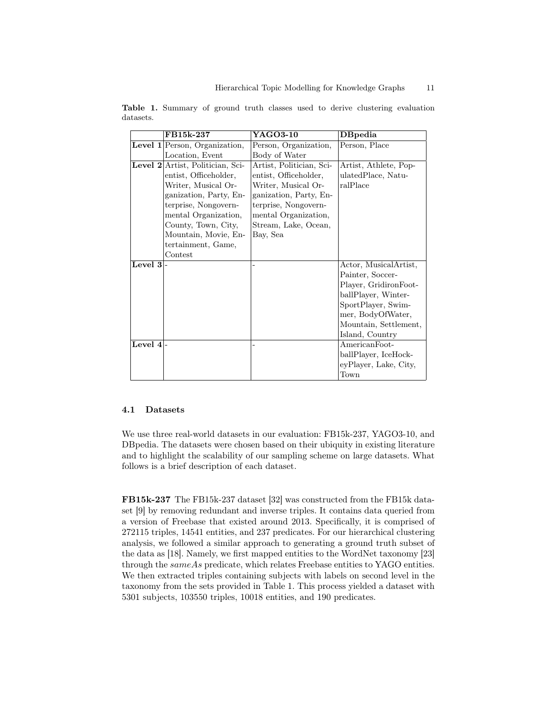|          | FB15k-237                            | ${\rm YAGO3\text{-}10}$  | ${\bf DBpedia}$       |
|----------|--------------------------------------|--------------------------|-----------------------|
|          | <b>Level 1</b> Person, Organization, | Person, Organization,    | Person, Place         |
|          | Location, Event                      | Body of Water            |                       |
|          | Level 2 Artist, Politician, Sci-     | Artist, Politician, Sci- | Artist, Athlete, Pop- |
|          | entist, Officeholder,                | entist, Officeholder,    | ulatedPlace, Natu-    |
|          | Writer, Musical Or-                  | Writer, Musical Or-      | ralPlace              |
|          | ganization, Party, En-               | ganization, Party, En-   |                       |
|          | terprise, Nongovern-                 | terprise, Nongovern-     |                       |
|          | mental Organization,                 | mental Organization,     |                       |
|          | County, Town, City,                  | Stream, Lake, Ocean,     |                       |
|          | Mountain, Movie, En-                 | Bay, Sea                 |                       |
|          | tertainment, Game,                   |                          |                       |
|          | Contest                              |                          |                       |
| Level 3  |                                      |                          | Actor, MusicalArtist, |
|          |                                      |                          | Painter, Soccer-      |
|          |                                      |                          | Player, GridironFoot- |
|          |                                      |                          | ballPlayer, Winter-   |
|          |                                      |                          | SportPlayer, Swim-    |
|          |                                      |                          | mer, BodyOfWater,     |
|          |                                      |                          | Mountain, Settlement, |
|          |                                      |                          | Island, Country       |
| Level 4- |                                      |                          | AmericanFoot-         |
|          |                                      |                          | ballPlayer, IceHock-  |
|          |                                      |                          | eyPlayer, Lake, City, |
|          |                                      |                          | Town                  |

Table 1. Summary of ground truth classes used to derive clustering evaluation datasets.

#### 4.1 Datasets

We use three real-world datasets in our evaluation: FB15k-237, YAGO3-10, and DBpedia. The datasets were chosen based on their ubiquity in existing literature and to highlight the scalability of our sampling scheme on large datasets. What follows is a brief description of each dataset.

FB15k-237 The FB15k-237 dataset [32] was constructed from the FB15k dataset [9] by removing redundant and inverse triples. It contains data queried from a version of Freebase that existed around 2013. Specifically, it is comprised of 272115 triples, 14541 entities, and 237 predicates. For our hierarchical clustering analysis, we followed a similar approach to generating a ground truth subset of the data as [18]. Namely, we first mapped entities to the WordNet taxonomy [23] through the sameAs predicate, which relates Freebase entities to YAGO entities. We then extracted triples containing subjects with labels on second level in the taxonomy from the sets provided in Table 1. This process yielded a dataset with 5301 subjects, 103550 triples, 10018 entities, and 190 predicates.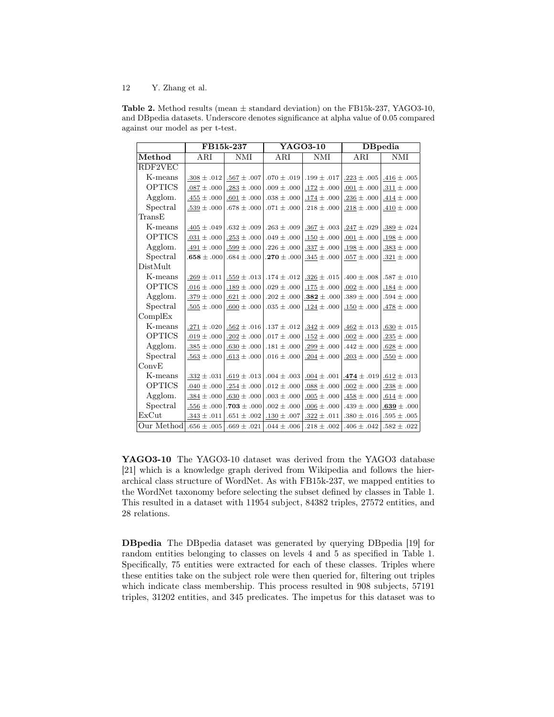**Table 2.** Method results (mean  $\pm$  standard deviation) on the FB15k-237, YAGO3-10, and DBpedia datasets. Underscore denotes significance at alpha value of 0.05 compared against our model as per t-test.

|               | FB15k-237       |                 | <b>YAGO3-10</b> |                 | <b>DB</b> pedia |                                      |
|---------------|-----------------|-----------------|-----------------|-----------------|-----------------|--------------------------------------|
| Method        | ARI             | NMI             | ARI             | <b>NMI</b>      | ARI             | NMI                                  |
| RDF2VEC       |                 |                 |                 |                 |                 |                                      |
| K-means       | $.308\pm.012$   | $.567 \pm .007$ | $.070 \pm .019$ | $.199 \pm .017$ | $.223 \pm .005$ | $\underline{.416} \pm .005$          |
| <b>OPTICS</b> | $.087 \pm .000$ | $.283 \pm .000$ | $.009 \pm .000$ | $.172 \pm .000$ | $.001 \pm .000$ | $.311 \pm .000$                      |
| Agglom.       | $.455 \pm .000$ | $.601 \pm .000$ | $.038 \pm .000$ | $.174 \pm .000$ | .236 $\pm$ .000 | $.414 \pm .000$                      |
| Spectral      | $.539 \pm .000$ | $.678 \pm .000$ | $.071 \pm .000$ | $.218 \pm .000$ | $.218 \pm .000$ | $.410 \pm .000$                      |
| TransE        |                 |                 |                 |                 |                 |                                      |
| K-means       | $.405 \pm .049$ | $.632 \pm .009$ | $.263 \pm .009$ | $.367 \pm .003$ | $.247 \pm .029$ | $.389 \pm .024$                      |
| <b>OPTICS</b> | $.031 \pm .000$ | .253 $\pm$ .000 | $.049 \pm .000$ | $.150 \pm .000$ | $.001 \pm .000$ | $.198 \pm .000$                      |
| Agglom.       | $.491 \pm .000$ | $.599 \pm .000$ | $.226 \pm .000$ | $.337 \pm .000$ | $.198 \pm .000$ | $.383 \pm .000$                      |
| Spectral      | $.658 \pm .000$ | $.684 \pm .000$ | $.270 \pm .000$ | $.345 \pm .000$ | $.057 \pm .000$ | $.321 \pm .000$                      |
| DistMult      |                 |                 |                 |                 |                 |                                      |
| K-means       | $.269\pm.011$   | $.559 \pm .013$ | $.174 \pm .012$ | .326 $\pm$ .015 | $.400 \pm .008$ | $.587 \pm .010$                      |
| <b>OPTICS</b> | $.016 \pm .000$ | $.189 \pm .000$ | $.029 \pm .000$ | $.175 \pm .000$ | $.002 \pm .000$ | $.184 \pm .000$                      |
| Agglom.       | $.379 \pm .000$ | $.621 \pm .000$ | $.202 \pm .000$ | $.382 \pm .000$ | $.389 \pm .000$ | $.594 \pm .000$                      |
| Spectral      | $.505\pm .000$  | $.600 \pm .000$ | $.035 \pm .000$ | $.124\pm .000$  | $.150\pm .000$  | $.478 \pm .000$                      |
| ComplEx       |                 |                 |                 |                 |                 |                                      |
| K-means       | $.271 \pm .020$ | $.562 \pm .016$ | $.137 \pm .012$ | $.342 \pm .009$ | $.462 \pm .013$ | $.630 \pm .015$                      |
| <b>OPTICS</b> | $.019 \pm .000$ | $.202 \pm .000$ | $.017 \pm .000$ | $.152 \pm .000$ | $.002 \pm .000$ | $.235 \pm .000$                      |
| Agglom.       | $.385 \pm .000$ | $.630 \pm .000$ | $.181 \pm .000$ | $.299 \pm .000$ | $.442 \pm .000$ | $.628 \pm .000$                      |
| Spectral      | $.563 \pm .000$ | $.613 \pm .000$ | $.016 \pm .000$ | $.204\pm .000$  | $.203 \pm .000$ | $.550 \pm .000$                      |
| ConvE         |                 |                 |                 |                 |                 |                                      |
| K-means       | $.332 \pm .031$ | $.619 \pm .013$ | $.004 \pm .003$ | $.004 \pm .001$ |                 | $.474 \pm .019$ .612 $\pm .013$      |
| <b>OPTICS</b> | $.040 \pm .000$ | $.254 \pm .000$ | $.012 \pm .000$ | $.088 \pm .000$ | $.002 \pm .000$ | $.238 \pm .000$                      |
| Agglom.       | $.384 \pm .000$ | $.630 \pm .000$ | $.003 \pm .000$ | $.005 \pm .000$ | $.458 \pm .000$ | $.614 \pm .000$                      |
| Spectral      | $.556 \pm .000$ | $.703 \pm .000$ | $.002 \pm .000$ | $.006 \pm .000$ | $.439 \pm .000$ | $.639 \pm .000$                      |
| ExCut         | $.343\pm.011$   | $.651\pm .002$  | $.130 \pm .007$ | $.322 \pm .011$ | $.380 \pm .016$ | $.595 \pm .005$                      |
| Our Method    | $.656 \pm .005$ | $.669 \pm .021$ | $.044 \pm .006$ | $.218 \pm .002$ |                 | $.406 \pm .042 \times .582 \pm .022$ |

YAGO3-10 The YAGO3-10 dataset was derived from the YAGO3 database [21] which is a knowledge graph derived from Wikipedia and follows the hierarchical class structure of WordNet. As with FB15k-237, we mapped entities to the WordNet taxonomy before selecting the subset defined by classes in Table 1. This resulted in a dataset with 11954 subject, 84382 triples, 27572 entities, and 28 relations.

DBpedia The DBpedia dataset was generated by querying DBpedia [19] for random entities belonging to classes on levels 4 and 5 as specified in Table 1. Specifically, 75 entities were extracted for each of these classes. Triples where these entities take on the subject role were then queried for, filtering out triples which indicate class membership. This process resulted in 908 subjects, 57191 triples, 31202 entities, and 345 predicates. The impetus for this dataset was to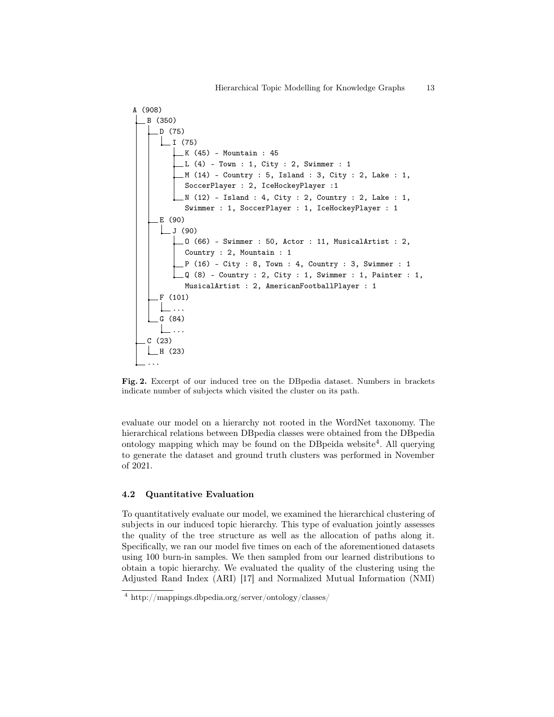

Fig. 2. Excerpt of our induced tree on the DB pedia dataset. Numbers in brackets indicate number of subjects which visited the cluster on its path.

evaluate our model on a hierarchy not rooted in the WordNet taxonomy. The hierarchical relations between DBpedia classes were obtained from the DBpedia ontology mapping which may be found on the DB peida website<sup>4</sup>. All querying to generate the dataset and ground truth clusters was performed in November of 2021.

#### 4.2 Quantitative Evaluation

To quantitatively evaluate our model, we examined the hierarchical clustering of subjects in our induced topic hierarchy. This type of evaluation jointly assesses the quality of the tree structure as well as the allocation of paths along it. Specifically, we ran our model five times on each of the aforementioned datasets using 100 burn-in samples. We then sampled from our learned distributions to obtain a topic hierarchy. We evaluated the quality of the clustering using the Adjusted Rand Index (ARI) [17] and Normalized Mutual Information (NMI)

<sup>4</sup> http://mappings.dbpedia.org/server/ontology/classes/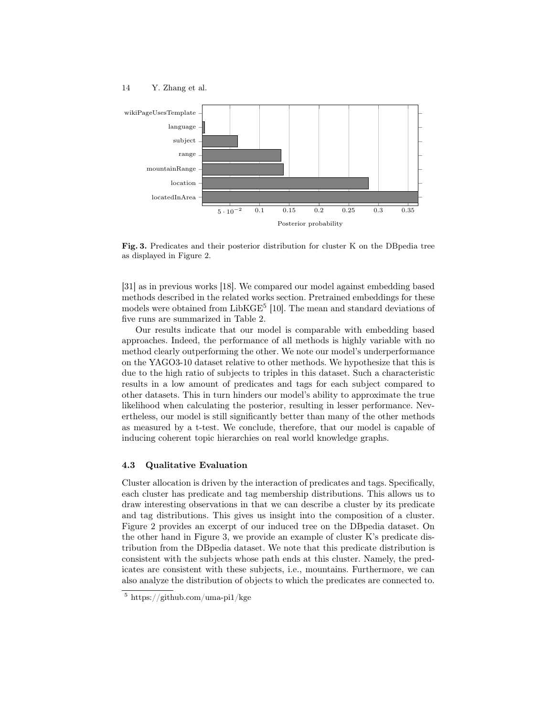

Fig. 3. Predicates and their posterior distribution for cluster K on the DBpedia tree as displayed in Figure 2.

[31] as in previous works [18]. We compared our model against embedding based methods described in the related works section. Pretrained embeddings for these models were obtained from LibKGE<sup>5</sup> [10]. The mean and standard deviations of five runs are summarized in Table 2.

Our results indicate that our model is comparable with embedding based approaches. Indeed, the performance of all methods is highly variable with no method clearly outperforming the other. We note our model's underperformance on the YAGO3-10 dataset relative to other methods. We hypothesize that this is due to the high ratio of subjects to triples in this dataset. Such a characteristic results in a low amount of predicates and tags for each subject compared to other datasets. This in turn hinders our model's ability to approximate the true likelihood when calculating the posterior, resulting in lesser performance. Nevertheless, our model is still significantly better than many of the other methods as measured by a t-test. We conclude, therefore, that our model is capable of inducing coherent topic hierarchies on real world knowledge graphs.

#### 4.3 Qualitative Evaluation

Cluster allocation is driven by the interaction of predicates and tags. Specifically, each cluster has predicate and tag membership distributions. This allows us to draw interesting observations in that we can describe a cluster by its predicate and tag distributions. This gives us insight into the composition of a cluster. Figure 2 provides an excerpt of our induced tree on the DBpedia dataset. On the other hand in Figure 3, we provide an example of cluster K's predicate distribution from the DBpedia dataset. We note that this predicate distribution is consistent with the subjects whose path ends at this cluster. Namely, the predicates are consistent with these subjects, i.e., mountains. Furthermore, we can also analyze the distribution of objects to which the predicates are connected to.

<sup>5</sup> https://github.com/uma-pi1/kge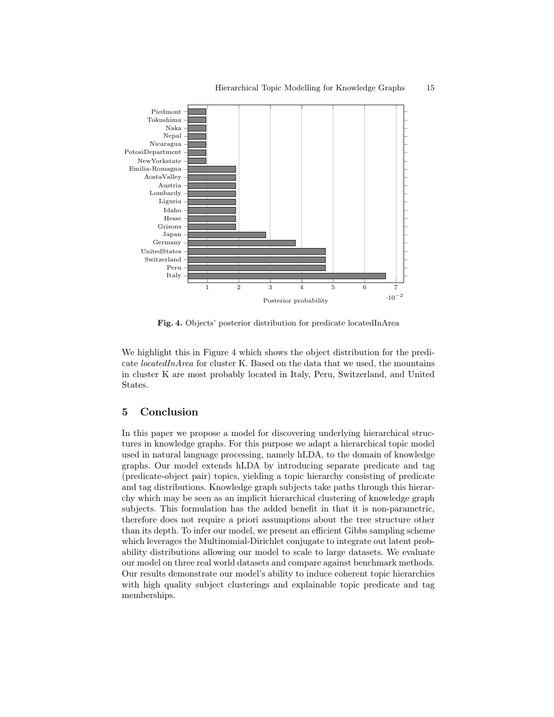

Fig. 4. Objects' posterior distribution for predicate locatedInArea

We highlight this in Figure 4 which shows the object distribution for the predicate locatedInArea for cluster K. Based on the data that we used, the mountains in cluster K are most probably located in Italy, Peru, Switzerland, and United States.

## 5 Conclusion

In this paper we propose a model for discovering underlying hierarchical structures in knowledge graphs. For this purpose we adapt a hierarchical topic model used in natural language processing, namely hLDA, to the domain of knowledge graphs. Our model extends hLDA by introducing separate predicate and tag (predicate-object pair) topics, yielding a topic hierarchy consisting of predicate and tag distributions. Knowledge graph subjects take paths through this hierarchy which may be seen as an implicit hierarchical clustering of knowledge graph subjects. This formulation has the added benefit in that it is non-parametric, therefore does not require a priori assumptions about the tree structure other than its depth. To infer our model, we present an efficient Gibbs sampling scheme which leverages the Multinomial-Dirichlet conjugate to integrate out latent probability distributions allowing our model to scale to large datasets. We evaluate our model on three real world datasets and compare against benchmark methods. Our results demonstrate our model's ability to induce coherent topic hierarchies with high quality subject clusterings and explainable topic predicate and tag memberships.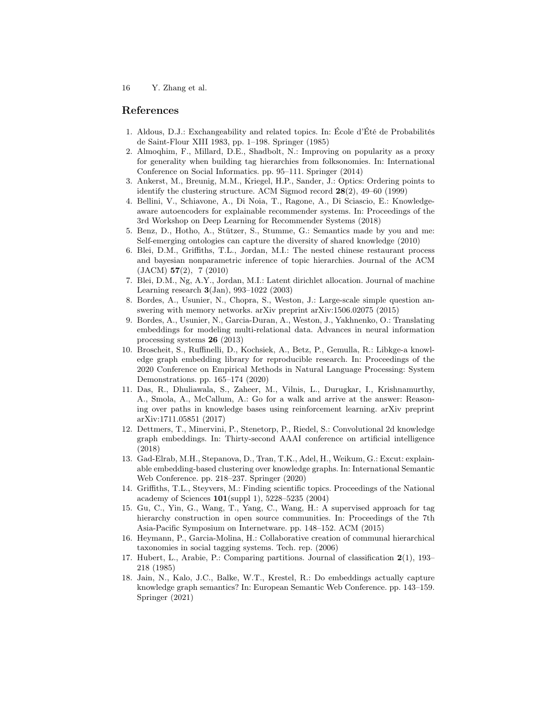# References

- 1. Aldous, D.J.: Exchangeability and related topics. In: École d'Été de Probabilités de Saint-Flour XIII 1983, pp. 1–198. Springer (1985)
- 2. Almoqhim, F., Millard, D.E., Shadbolt, N.: Improving on popularity as a proxy for generality when building tag hierarchies from folksonomies. In: International Conference on Social Informatics. pp. 95–111. Springer (2014)
- 3. Ankerst, M., Breunig, M.M., Kriegel, H.P., Sander, J.: Optics: Ordering points to identify the clustering structure. ACM Sigmod record  $28(2)$ , 49–60 (1999)
- 4. Bellini, V., Schiavone, A., Di Noia, T., Ragone, A., Di Sciascio, E.: Knowledgeaware autoencoders for explainable recommender systems. In: Proceedings of the 3rd Workshop on Deep Learning for Recommender Systems (2018)
- 5. Benz, D., Hotho, A., Stützer, S., Stumme, G.: Semantics made by you and me: Self-emerging ontologies can capture the diversity of shared knowledge (2010)
- 6. Blei, D.M., Griffiths, T.L., Jordan, M.I.: The nested chinese restaurant process and bayesian nonparametric inference of topic hierarchies. Journal of the ACM (JACM) 57(2), 7 (2010)
- 7. Blei, D.M., Ng, A.Y., Jordan, M.I.: Latent dirichlet allocation. Journal of machine Learning research 3(Jan), 993–1022 (2003)
- 8. Bordes, A., Usunier, N., Chopra, S., Weston, J.: Large-scale simple question answering with memory networks. arXiv preprint arXiv:1506.02075 (2015)
- 9. Bordes, A., Usunier, N., Garcia-Duran, A., Weston, J., Yakhnenko, O.: Translating embeddings for modeling multi-relational data. Advances in neural information processing systems 26 (2013)
- 10. Broscheit, S., Ruffinelli, D., Kochsiek, A., Betz, P., Gemulla, R.: Libkge-a knowledge graph embedding library for reproducible research. In: Proceedings of the 2020 Conference on Empirical Methods in Natural Language Processing: System Demonstrations. pp. 165–174 (2020)
- 11. Das, R., Dhuliawala, S., Zaheer, M., Vilnis, L., Durugkar, I., Krishnamurthy, A., Smola, A., McCallum, A.: Go for a walk and arrive at the answer: Reasoning over paths in knowledge bases using reinforcement learning. arXiv preprint arXiv:1711.05851 (2017)
- 12. Dettmers, T., Minervini, P., Stenetorp, P., Riedel, S.: Convolutional 2d knowledge graph embeddings. In: Thirty-second AAAI conference on artificial intelligence (2018)
- 13. Gad-Elrab, M.H., Stepanova, D., Tran, T.K., Adel, H., Weikum, G.: Excut: explainable embedding-based clustering over knowledge graphs. In: International Semantic Web Conference. pp. 218–237. Springer (2020)
- 14. Griffiths, T.L., Steyvers, M.: Finding scientific topics. Proceedings of the National academy of Sciences 101(suppl 1), 5228–5235 (2004)
- 15. Gu, C., Yin, G., Wang, T., Yang, C., Wang, H.: A supervised approach for tag hierarchy construction in open source communities. In: Proceedings of the 7th Asia-Pacific Symposium on Internetware. pp. 148–152. ACM (2015)
- 16. Heymann, P., Garcia-Molina, H.: Collaborative creation of communal hierarchical taxonomies in social tagging systems. Tech. rep. (2006)
- 17. Hubert, L., Arabie, P.: Comparing partitions. Journal of classification 2(1), 193– 218 (1985)
- 18. Jain, N., Kalo, J.C., Balke, W.T., Krestel, R.: Do embeddings actually capture knowledge graph semantics? In: European Semantic Web Conference. pp. 143–159. Springer (2021)